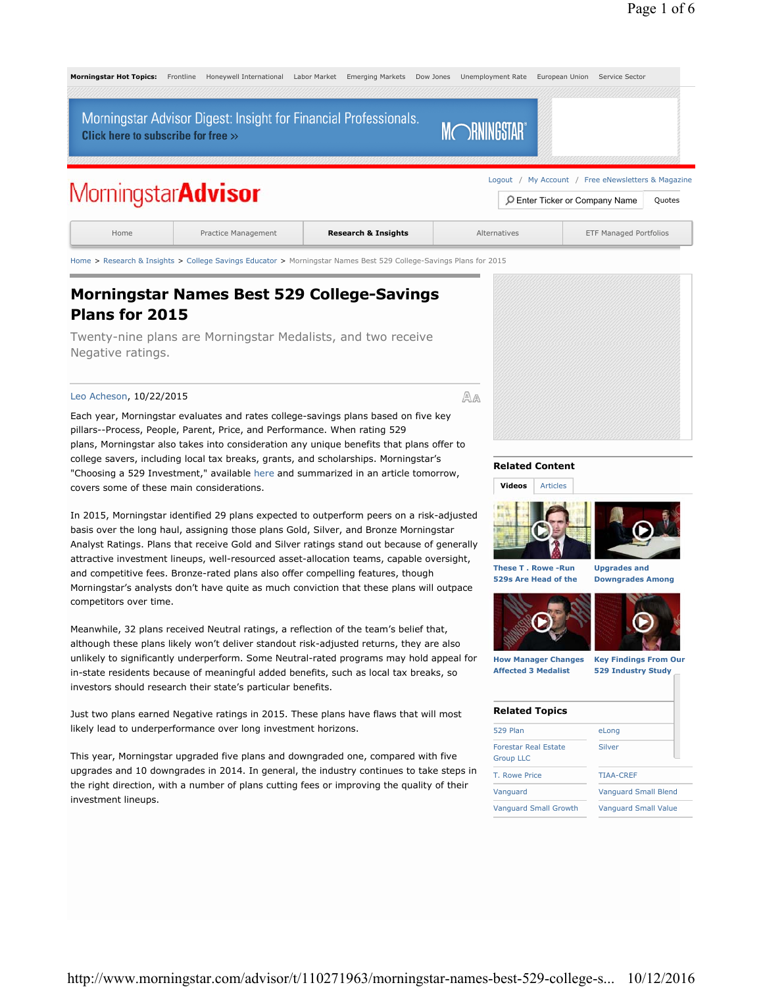

Home > Research & Insights > College Savings Educator > Morningstar Names Best 529 College-Savings Plans for 2015

## **Morningstar Names Best 529 College-Savings Plans for 2015**

Twenty-nine plans are Morningstar Medalists, and two receive Negative ratings.

#### Leo Acheson, 10/22/2015

Each year, Morningstar evaluates and rates college-savings plans based on five key pillars--Process, People, Parent, Price, and Performance. When rating 529 plans, Morningstar also takes into consideration any unique benefits that plans offer to college savers, including local tax breaks, grants, and scholarships. Morningstar's "Choosing a 529 Investment," available here and summarized in an article tomorrow, covers some of these main considerations.

In 2015, Morningstar identified 29 plans expected to outperform peers on a risk-adjusted basis over the long haul, assigning those plans Gold, Silver, and Bronze Morningstar Analyst Ratings. Plans that receive Gold and Silver ratings stand out because of generally attractive investment lineups, well-resourced asset-allocation teams, capable oversight, and competitive fees. Bronze-rated plans also offer compelling features, though Morningstar's analysts don't have quite as much conviction that these plans will outpace competitors over time.

Meanwhile, 32 plans received Neutral ratings, a reflection of the team's belief that, although these plans likely won't deliver standout risk-adjusted returns, they are also unlikely to significantly underperform. Some Neutral-rated programs may hold appeal for in-state residents because of meaningful added benefits, such as local tax breaks, so investors should research their state's particular benefits.

Just two plans earned Negative ratings in 2015. These plans have flaws that will most likely lead to underperformance over long investment horizons.

This year, Morningstar upgraded five plans and downgraded one, compared with five upgrades and 10 downgrades in 2014. In general, the industry continues to take steps in the right direction, with a number of plans cutting fees or improving the quality of their investment lineups.



#### **Related Content**

**Videos** Articles





**These T . Rowe -Run 529s Are Head of the** 

**Downgrades Among** 





**How Manager Changes Affected 3 Medalist** 

**Key Findings From Our 529 Industry Study**

#### **Related Topics**

| <b>529 Plan</b>             |  |
|-----------------------------|--|
| <b>Forestar Real Estate</b> |  |
| <b>Group LLC</b>            |  |

T. Rowe Price TIAA-CREF

eLong

Silver

Vanguard Vanguard Small Blend

Vanguard Small Growth Vanguard Small Value

AA

http://www.morningstar.com/advisor/t/110271963/morningstar-names-best-529-college-s... 10/12/2016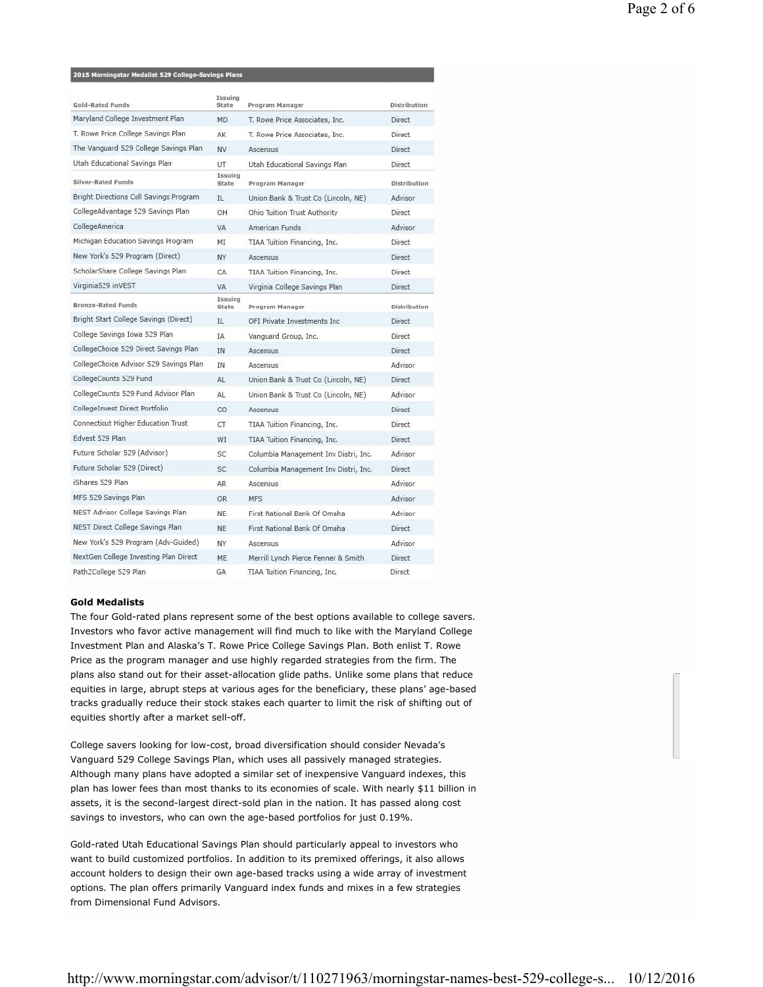#### 2015 Morningstar Medalist 529 College-Savings Plans

| Gold-Rated Funds                       | Issuing<br>State        | Program Manager                      | <b>Distribution</b> |
|----------------------------------------|-------------------------|--------------------------------------|---------------------|
| Maryland College Investment Plan       | <b>MD</b>               | T. Rowe Price Associates, Inc.       | Direct              |
| T. Rowe Price College Savings Plan     | AK                      | T. Rowe Price Associates, Inc.       | Direct              |
| The Vanguard 529 College Savings Plan  | <b>NV</b>               | Ascensus                             | Direct              |
| Utah Educational Savings Plan          | UT                      | Utah Educational Savings Plan        | Direct              |
| Silver-Rated Funds                     | <b>Issuing</b><br>State | Program Manager                      | <b>Distribution</b> |
| Bright Directions Coll Savings Program | $\Pi$                   | Union Bank & Trust Co (Lincoln, NE)  | Advisor             |
| CollegeAdvantage 529 Savings Plan      | OH                      | Ohio Tuition Trust Authority         | Direct              |
| CollegeAmerica                         | <b>VA</b>               | American Funds                       | Advisor             |
| Michigan Education Savings Program     | ΜI                      | TIAA Tuition Financing, Inc.         | Direct              |
| New York's 529 Program (Direct)        | NY.                     | Ascensus                             | Direct              |
| ScholarShare College Savings Plan      | CA                      | TIAA Tuition Financing, Inc.         | Direct              |
| Virginia529 inVEST                     | <b>VA</b>               | Virginia College Savings Plan        | Direct              |
| <b>Bronze-Rated Funds</b>              | Issuing<br>State        | Program Manager                      | <b>Distribution</b> |
| Bright Start College Savings (Direct)  | IL                      | OFI Private Investments Inc.         | Direct              |
| College Savings Iowa 529 Plan          | IA                      | Vanguard Group, Inc.                 | Direct              |
| CollegeChoice 529 Direct Savings Plan  | <b>IN</b>               | <b>Ascensus</b>                      | Direct              |
| CollegeChoice Advisor 529 Savings Plan | IN                      | <b>Ascensus</b>                      | Advisor             |
| CollegeCounts 529 Fund                 | AL                      | Union Bank & Trust Co (Lincoln, NE)  | Direct              |
| CollegeCounts 529 Fund Advisor Plan    | AL                      | Union Bank & Trust Co (Lincoln, NE)  | Advisor             |
| CollegeInvest Direct Portfolio         | CO                      | <b>Ascensus</b>                      | Direct              |
| Connecticut Higher Education Trust     | CT                      | TIAA Tuition Financing, Inc.         | Direct              |
| Edvest 529 Plan                        | WI                      | TIAA Tuition Financing, Inc.         | Direct              |
| Future Scholar 529 (Advisor)           | SC                      | Columbia Management Inv Distri, Inc. | Advisor             |
| Future Scholar 529 (Direct)            | <b>SC</b>               | Columbia Management Inv Distri, Inc. | Direct              |
| Shares 529 Plan                        | AR.                     | Ascensus                             | Advisor             |
| MFS 529 Savings Plan                   | OR.                     | <b>MFS</b>                           | Advisor             |
| NEST Advisor College Savings Plan      | <b>NE</b>               | First National Bank Of Omaha         | Advisor             |
| NEST Direct College Savings Plan       | <b>NE</b>               | First National Bank Of Omaha         | Direct              |
| New York's 529 Program (Adv-Guided)    | NY                      | <b>Ascensus</b>                      | Advisor             |
| NextGen College Investing Plan Direct  | ME                      | Merrill Lynch Pierce Fenner & Smith  | Direct              |
| Path2College 529 Plan                  | GA                      | TIAA Tuition Financing, Inc.         | Direct              |

#### **Gold Medalists**

The four Gold-rated plans represent some of the best options available to college savers. Investors who favor active management will find much to like with the Maryland College Investment Plan and Alaska's T. Rowe Price College Savings Plan. Both enlist T. Rowe Price as the program manager and use highly regarded strategies from the firm. The plans also stand out for their asset-allocation glide paths. Unlike some plans that reduce equities in large, abrupt steps at various ages for the beneficiary, these plans' age-based tracks gradually reduce their stock stakes each quarter to limit the risk of shifting out of equities shortly after a market sell-off.

College savers looking for low-cost, broad diversification should consider Nevada's Vanguard 529 College Savings Plan, which uses all passively managed strategies. Although many plans have adopted a similar set of inexpensive Vanguard indexes, this plan has lower fees than most thanks to its economies of scale. With nearly \$11 billion in assets, it is the second-largest direct-sold plan in the nation. It has passed along cost savings to investors, who can own the age-based portfolios for just 0.19%.

Gold-rated Utah Educational Savings Plan should particularly appeal to investors who want to build customized portfolios. In addition to its premixed offerings, it also allows account holders to design their own age-based tracks using a wide array of investment options. The plan offers primarily Vanguard index funds and mixes in a few strategies from Dimensional Fund Advisors.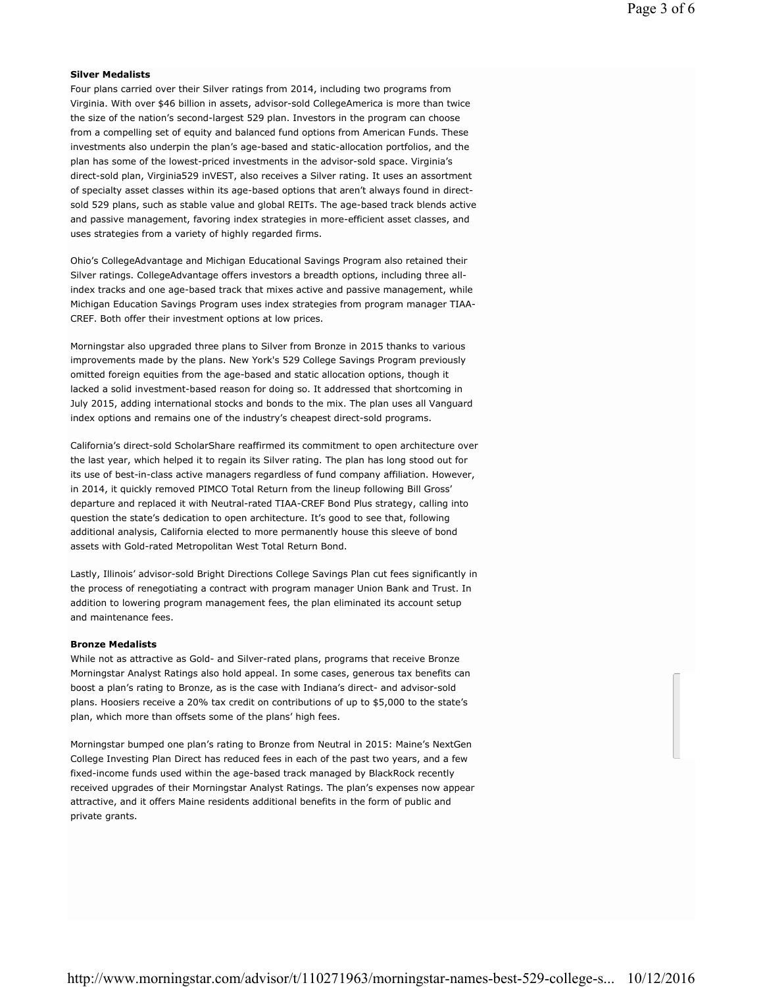#### **Silver Medalists**

Four plans carried over their Silver ratings from 2014, including two programs from Virginia. With over \$46 billion in assets, advisor-sold CollegeAmerica is more than twice the size of the nation's second-largest 529 plan. Investors in the program can choose from a compelling set of equity and balanced fund options from American Funds. These investments also underpin the plan's age-based and static-allocation portfolios, and the plan has some of the lowest-priced investments in the advisor-sold space. Virginia's direct-sold plan, Virginia529 inVEST, also receives a Silver rating. It uses an assortment of specialty asset classes within its age-based options that aren't always found in directsold 529 plans, such as stable value and global REITs. The age-based track blends active and passive management, favoring index strategies in more-efficient asset classes, and uses strategies from a variety of highly regarded firms.

Ohio's CollegeAdvantage and Michigan Educational Savings Program also retained their Silver ratings. CollegeAdvantage offers investors a breadth options, including three allindex tracks and one age-based track that mixes active and passive management, while Michigan Education Savings Program uses index strategies from program manager TIAA-CREF. Both offer their investment options at low prices.

Morningstar also upgraded three plans to Silver from Bronze in 2015 thanks to various improvements made by the plans. New York's 529 College Savings Program previously omitted foreign equities from the age-based and static allocation options, though it lacked a solid investment-based reason for doing so. It addressed that shortcoming in July 2015, adding international stocks and bonds to the mix. The plan uses all Vanguard index options and remains one of the industry's cheapest direct-sold programs.

California's direct-sold ScholarShare reaffirmed its commitment to open architecture over the last year, which helped it to regain its Silver rating. The plan has long stood out for its use of best-in-class active managers regardless of fund company affiliation. However, in 2014, it quickly removed PIMCO Total Return from the lineup following Bill Gross' departure and replaced it with Neutral-rated TIAA-CREF Bond Plus strategy, calling into question the state's dedication to open architecture. It's good to see that, following additional analysis, California elected to more permanently house this sleeve of bond assets with Gold-rated Metropolitan West Total Return Bond.

Lastly, Illinois' advisor-sold Bright Directions College Savings Plan cut fees significantly in the process of renegotiating a contract with program manager Union Bank and Trust. In addition to lowering program management fees, the plan eliminated its account setup and maintenance fees.

#### **Bronze Medalists**

While not as attractive as Gold- and Silver-rated plans, programs that receive Bronze Morningstar Analyst Ratings also hold appeal. In some cases, generous tax benefits can boost a plan's rating to Bronze, as is the case with Indiana's direct- and advisor-sold plans. Hoosiers receive a 20% tax credit on contributions of up to \$5,000 to the state's plan, which more than offsets some of the plans' high fees.

Morningstar bumped one plan's rating to Bronze from Neutral in 2015: Maine's NextGen College Investing Plan Direct has reduced fees in each of the past two years, and a few fixed-income funds used within the age-based track managed by BlackRock recently received upgrades of their Morningstar Analyst Ratings. The plan's expenses now appear attractive, and it offers Maine residents additional benefits in the form of public and private grants.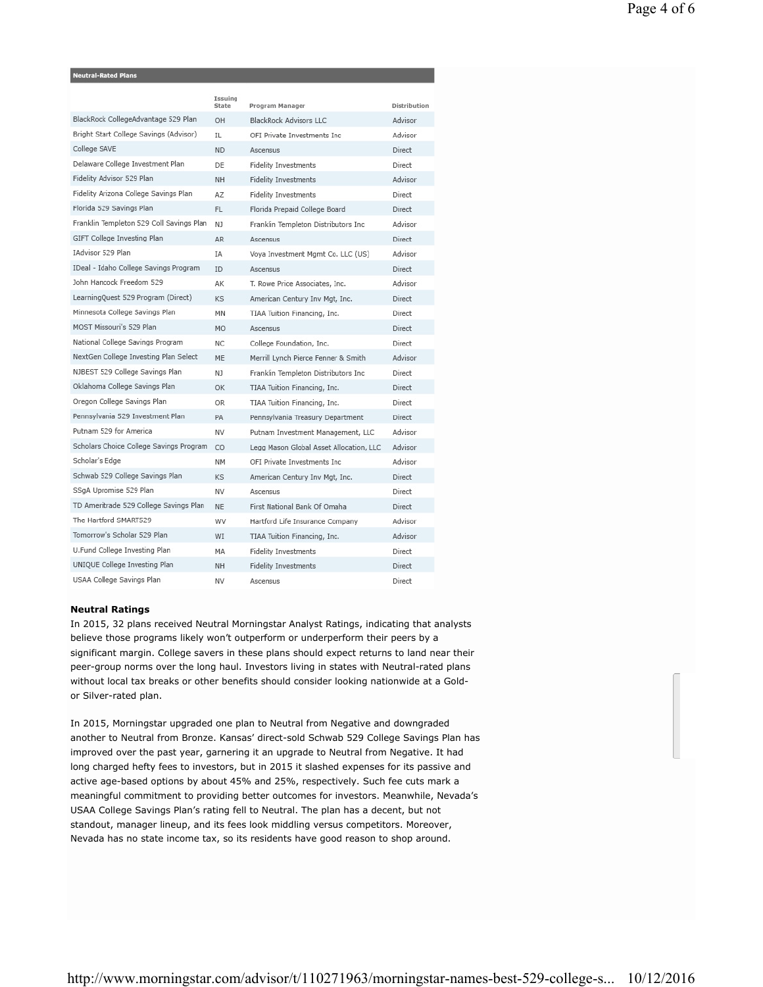#### leutral-Rated Plan

|                                          | Issuing<br>State | Program Manager                         | Distribution  |
|------------------------------------------|------------------|-----------------------------------------|---------------|
| BlackRock CollegeAdvantage 529 Plan      | <b>OH</b>        | <b>BlackRock Advisors LLC</b>           | Advisor       |
| Bright Start College Savings (Advisor)   | IL               | OFI Private Investments Inc.            | Advisor       |
| College SAVE                             | <b>ND</b>        | Ascensus                                | Direct        |
| Delaware College Investment Plan         | DE               | <b>Fidelity Investments</b>             | Direct        |
| Fidelity Advisor 529 Plan                | <b>NH</b>        | <b>Fidelity Investments</b>             | Advisor       |
| Fidelity Arizona College Savings Plan    | AZ               | <b>Fidelity Investments</b>             | Direct        |
| Florida 529 Savings Plan                 | FL.              | Florida Prepaid College Board           | Direct        |
| Franklin Templeton 529 Coll Savings Plan | NJ               | Franklin Templeton Distributors Inc     | Advisor       |
| GIFT College Investing Plan              | <b>AR</b>        | Ascensus                                | Direct        |
| IAdvisor 529 Plan                        | <b>IA</b>        | Voya Investment Mgmt Co. LLC (US)       | Advisor       |
| IDeal - Idaho College Savings Program    | ID               | Ascensus                                | <b>Direct</b> |
| John Hancock Freedom 529                 | AK               | T. Rowe Price Associates, Inc.          | Advisor       |
| LearningQuest 529 Program (Direct)       | KS               | American Century Inv Mgt, Inc.          | <b>Direct</b> |
| Minnesota College Savings Plan           | MN               | TIAA Tuition Financing, Inc.            | Direct        |
| <b>MOST Missouri's 529 Plan</b>          | <b>MO</b>        | Ascensus                                | <b>Direct</b> |
| National College Savings Program         | NC.              | College Foundation, Inc.                | <b>Direct</b> |
| NextGen College Investing Plan Select    | MF               | Merrill Lynch Pierce Fenner & Smith     | Advisor       |
| NJBEST 529 College Savings Plan          | N1               | Franklin Templeton Distributors Inc.    | <b>Direct</b> |
| Oklahoma College Savings Plan            | OK               | TIAA Tuition Financing, Inc.            | <b>Direct</b> |
| Oregon College Savings Plan              | OR.              | TIAA Tuition Financing, Inc.            | Direct        |
| Pennsylvania 529 Investment Plan         | PA               | Pennsylvania Treasury Department        | <b>Direct</b> |
| Putnam 529 for America                   | NV               | Putnam Investment Management, LLC       | Advisor       |
| Scholars Choice College Savings Program  | CO               | Legg Mason Global Asset Allocation, LLC | Advisor       |
| Scholar's Edge                           | <b>NM</b>        | OFI Private Investments Inc             | Advisor       |
| Schwab 529 College Savings Plan          | KS               | American Century Inv Mgt, Inc.          | <b>Direct</b> |
| SSqA Upromise 529 Plan                   | NV               | Ascensus                                | Direct        |
| TD Ameritrade 529 College Savings Plan   | <b>NE</b>        | First National Bank Of Omaha            | <b>Direct</b> |
| The Hartford SMART529                    | WV               | Hartford Life Insurance Company         | Advisor       |
| Tomorrow's Scholar 529 Plan              | WI               | TIAA Tuition Financing, Inc.            | Advisor       |
| U.Fund College Investing Plan            | MA               | <b>Fidelity Investments</b>             | Direct        |
| UNIQUE College Investing Plan            | <b>NH</b>        | <b>Fidelity Investments</b>             | <b>Direct</b> |
| USAA College Savings Plan                | NV               | Ascensus                                | Direct        |

#### **Neutral Ratings**

In 2015, 32 plans received Neutral Morningstar Analyst Ratings, indicating that analysts believe those programs likely won't outperform or underperform their peers by a significant margin. College savers in these plans should expect returns to land near their peer-group norms over the long haul. Investors living in states with Neutral-rated plans without local tax breaks or other benefits should consider looking nationwide at a Goldor Silver-rated plan.

In 2015, Morningstar upgraded one plan to Neutral from Negative and downgraded another to Neutral from Bronze. Kansas' direct-sold Schwab 529 College Savings Plan has improved over the past year, garnering it an upgrade to Neutral from Negative. It had long charged hefty fees to investors, but in 2015 it slashed expenses for its passive and active age-based options by about 45% and 25%, respectively. Such fee cuts mark a meaningful commitment to providing better outcomes for investors. Meanwhile, Nevada's USAA College Savings Plan's rating fell to Neutral. The plan has a decent, but not standout, manager lineup, and its fees look middling versus competitors. Moreover, Nevada has no state income tax, so its residents have good reason to shop around.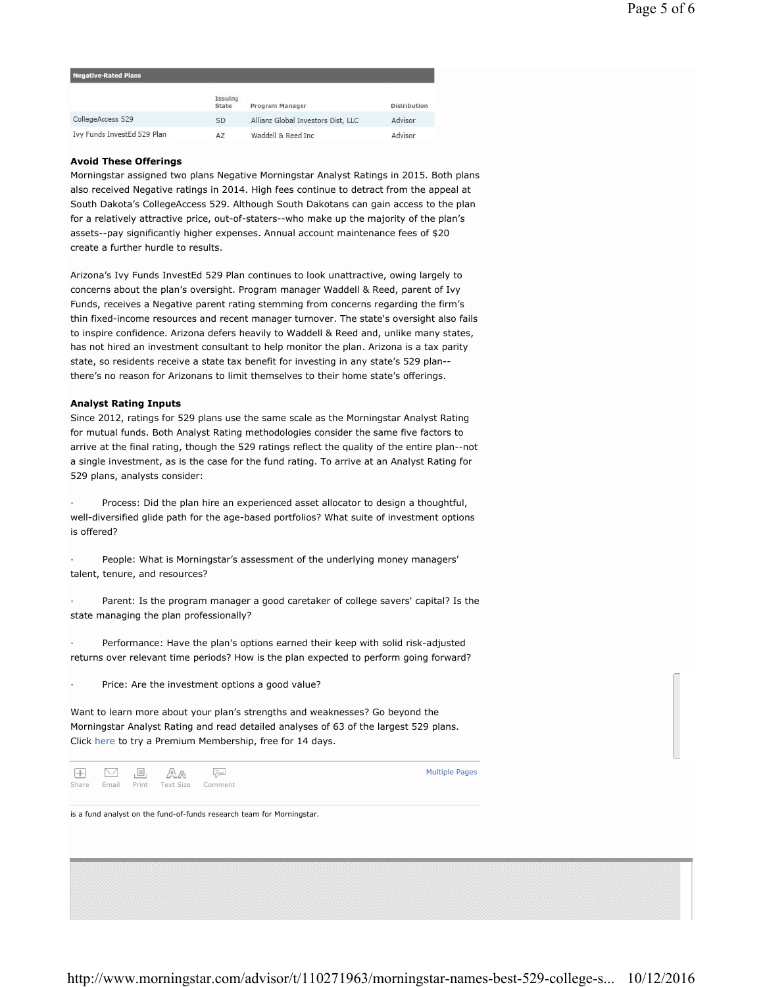| Negative-Rated Plans        |                  |                                    |              |
|-----------------------------|------------------|------------------------------------|--------------|
|                             | Issuing<br>State | Program Manager                    | Distribution |
| CollegeAccess 529           | SD               | Allianz Global Investors Dist, LLC | Advisor      |
| Ivy Funds InvestEd 529 Plan | AZ               | Waddell & Reed Inc.                | Advisor      |

#### **Avoid These Offerings**

Morningstar assigned two plans Negative Morningstar Analyst Ratings in 2015. Both plans also received Negative ratings in 2014. High fees continue to detract from the appeal at South Dakota's CollegeAccess 529. Although South Dakotans can gain access to the plan for a relatively attractive price, out-of-staters--who make up the majority of the plan's assets--pay significantly higher expenses. Annual account maintenance fees of \$20 create a further hurdle to results.

Arizona's Ivy Funds InvestEd 529 Plan continues to look unattractive, owing largely to concerns about the plan's oversight. Program manager Waddell & Reed, parent of Ivy Funds, receives a Negative parent rating stemming from concerns regarding the firm's thin fixed-income resources and recent manager turnover. The state's oversight also fails to inspire confidence. Arizona defers heavily to Waddell & Reed and, unlike many states, has not hired an investment consultant to help monitor the plan. Arizona is a tax parity state, so residents receive a state tax benefit for investing in any state's 529 plan- there's no reason for Arizonans to limit themselves to their home state's offerings.

#### **Analyst Rating Inputs**

Since 2012, ratings for 529 plans use the same scale as the Morningstar Analyst Rating for mutual funds. Both Analyst Rating methodologies consider the same five factors to arrive at the final rating, though the 529 ratings reflect the quality of the entire plan--not a single investment, as is the case for the fund rating. To arrive at an Analyst Rating for 529 plans, analysts consider:

Process: Did the plan hire an experienced asset allocator to design a thoughtful, well-diversified glide path for the age-based portfolios? What suite of investment options is offered?

People: What is Morningstar's assessment of the underlying money managers' talent, tenure, and resources?

Parent: Is the program manager a good caretaker of college savers' capital? Is the state managing the plan professionally?

Performance: Have the plan's options earned their keep with solid risk-adjusted returns over relevant time periods? How is the plan expected to perform going forward?

Price: Are the investment options a good value?

Want to learn more about your plan's strengths and weaknesses? Go beyond the Morningstar Analyst Rating and read detailed analyses of 63 of the largest 529 plans. Click here to try a Premium Membership, free for 14 days.

AA 든  $\left| + \right|$  $\vee$ Æ, Share Email Print Text Size Comment

Multiple Pages

is a fund analyst on the fund-of-funds research team for Morningstar.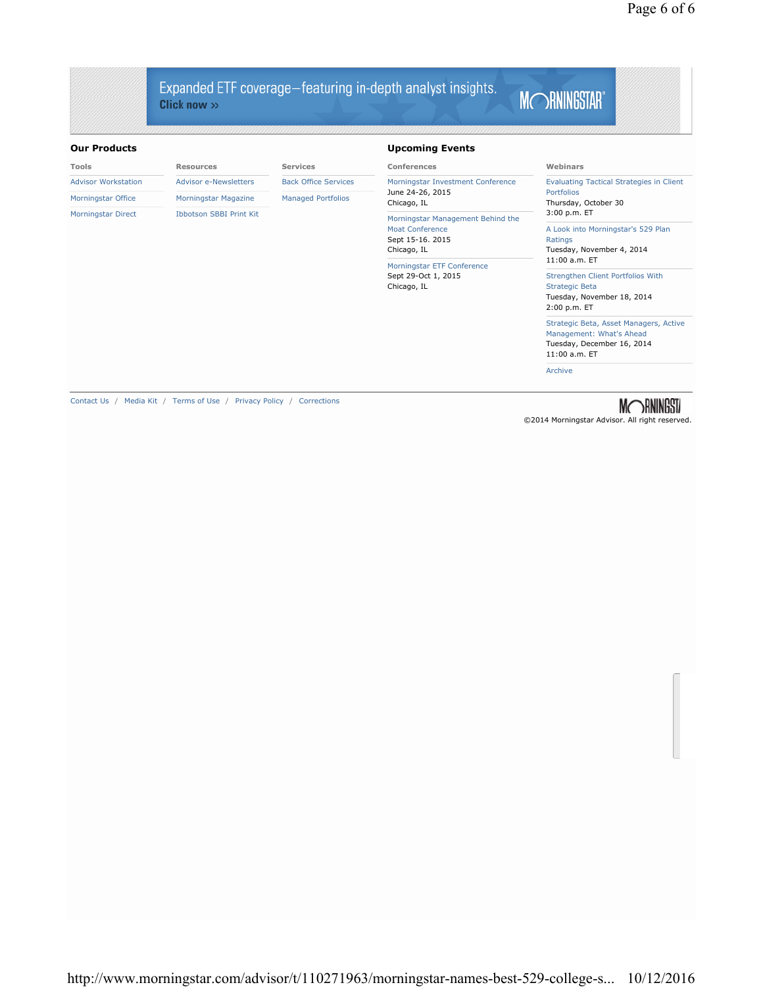## Expanded ETF coverage-featuring in-depth analyst insights. Click now  $\gg$

# MORNINGSTAR®

#### **Our Products**

| <b>Our Products</b>                                        |                                |                                   | <b>Upcoming Events</b>                                                                                                                                      |                                                                                                                   |
|------------------------------------------------------------|--------------------------------|-----------------------------------|-------------------------------------------------------------------------------------------------------------------------------------------------------------|-------------------------------------------------------------------------------------------------------------------|
| <b>Tools</b>                                               | <b>Resources</b>               | <b>Services</b>                   | <b>Conferences</b>                                                                                                                                          | Webinars                                                                                                          |
| <b>Advisor e-Newsletters</b><br><b>Advisor Workstation</b> | <b>Back Office Services</b>    | Morningstar Investment Conference | <b>Evaluating Tactical Strategies in Client</b>                                                                                                             |                                                                                                                   |
| Morningstar Office                                         | Morningstar Magazine           | <b>Managed Portfolios</b>         | June 24-26, 2015<br>Chicago, IL                                                                                                                             | Portfolios<br>Thursday, October 30                                                                                |
| <b>Morningstar Direct</b>                                  | <b>Ibbotson SBBI Print Kit</b> |                                   | Morningstar Management Behind the<br>Moat Conference<br>Sept 15-16. 2015<br>Chicago, IL<br>Morningstar ETF Conference<br>Sept 29-Oct 1, 2015<br>Chicago, IL | 3:00 p.m. ET                                                                                                      |
|                                                            |                                |                                   |                                                                                                                                                             | A Look into Morningstar's 529 Plan<br>Ratings<br>Tuesday, November 4, 2014<br>11:00 a.m. ET                       |
|                                                            |                                |                                   |                                                                                                                                                             | Strengthen Client Portfolios With<br><b>Strategic Beta</b><br>Tuesday, November 18, 2014<br>2:00 p.m. ET          |
|                                                            |                                |                                   |                                                                                                                                                             | Strategic Beta, Asset Managers, Active<br>Management: What's Ahead<br>Tuesday, December 16, 2014<br>11:00 a.m. ET |
|                                                            |                                |                                   |                                                                                                                                                             | Archive                                                                                                           |
|                                                            |                                |                                   |                                                                                                                                                             |                                                                                                                   |

Contact Us / Media Kit / Terms of Use / Privacy Policy / Corrections

©2014 Morningstar Advisor. All right reserved.